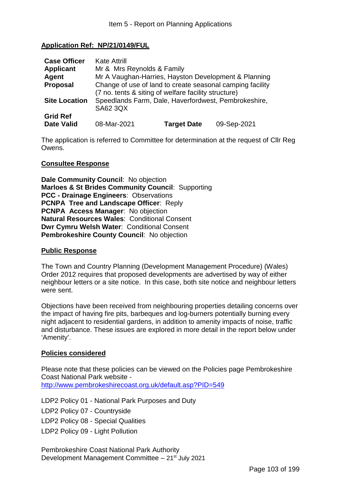### **Application Ref: NP/21/0149/FUL**

| <b>Case Officer</b>  | <b>Kate Attrill</b>                                                                                                             |                    |             |
|----------------------|---------------------------------------------------------------------------------------------------------------------------------|--------------------|-------------|
| <b>Applicant</b>     | Mr & Mrs Reynolds & Family                                                                                                      |                    |             |
| Agent                | Mr A Vaughan-Harries, Hayston Development & Planning                                                                            |                    |             |
| <b>Proposal</b>      | Change of use of land to create seasonal camping facility                                                                       |                    |             |
| <b>Site Location</b> | (7 no. tents & siting of welfare facility structure)<br>Speedlands Farm, Dale, Haverfordwest, Pembrokeshire,<br><b>SA62 3QX</b> |                    |             |
| <b>Grid Ref</b>      |                                                                                                                                 |                    |             |
| <b>Date Valid</b>    | 08-Mar-2021                                                                                                                     | <b>Target Date</b> | 09-Sep-2021 |

The application is referred to Committee for determination at the request of Cllr Reg Owens.

#### **Consultee Response**

**Dale Community Council: No objection Marloes & St Brides Community Council**: Supporting **PCC - Drainage Engineers**: Observations **PCNPA Tree and Landscape Officer**: Reply **PCNPA Access Manager**: No objection **Natural Resources Wales**: Conditional Consent **Dwr Cymru Welsh Water**: Conditional Consent **Pembrokeshire County Council**: No objection

#### **Public Response**

The Town and Country Planning (Development Management Procedure) (Wales) Order 2012 requires that proposed developments are advertised by way of either neighbour letters or a site notice. In this case, both site notice and neighbour letters were sent.

Objections have been received from neighbouring properties detailing concerns over the impact of having fire pits, barbeques and log-burners potentially burning every night adjacent to residential gardens, in addition to amenity impacts of noise, traffic and disturbance. These issues are explored in more detail in the report below under 'Amenity'.

### **Policies considered**

Please note that these policies can be viewed on the Policies page Pembrokeshire Coast National Park website -

http://www.pembrokeshirecoast.org.uk/default.asp?PID=549

LDP2 Policy 01 - National Park Purposes and Duty

LDP2 Policy 07 - Countryside

LDP2 Policy 08 - Special Qualities

LDP2 Policy 09 - Light Pollution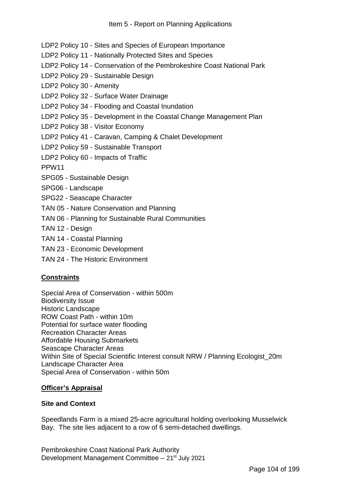- LDP2 Policy 10 Sites and Species of European Importance
- LDP2 Policy 11 Nationally Protected Sites and Species
- LDP2 Policy 14 Conservation of the Pembrokeshire Coast National Park
- LDP2 Policy 29 Sustainable Design
- LDP2 Policy 30 Amenity
- LDP2 Policy 32 Surface Water Drainage
- LDP2 Policy 34 Flooding and Coastal Inundation
- LDP2 Policy 35 Development in the Coastal Change Management Plan
- LDP2 Policy 38 Visitor Economy
- LDP2 Policy 41 Caravan, Camping & Chalet Development
- LDP2 Policy 59 Sustainable Transport
- LDP2 Policy 60 Impacts of Traffic
- PPW11
- SPG05 Sustainable Design
- SPG06 Landscape
- SPG22 Seascape Character
- TAN 05 Nature Conservation and Planning
- TAN 06 Planning for Sustainable Rural Communities
- TAN 12 Design
- TAN 14 Coastal Planning
- TAN 23 Economic Development
- TAN 24 The Historic Environment

# **Constraints**

Special Area of Conservation - within 500m Biodiversity Issue Historic Landscape ROW Coast Path - within 10m Potential for surface water flooding Recreation Character Areas Affordable Housing Submarkets Seascape Character Areas Within Site of Special Scientific Interest consult NRW / Planning Ecologist\_20m Landscape Character Area Special Area of Conservation - within 50m

### **Officer's Appraisal**

### **Site and Context**

Speedlands Farm is a mixed 25-acre agricultural holding overlooking Musselwick Bay. The site lies adjacent to a row of 6 semi-detached dwellings.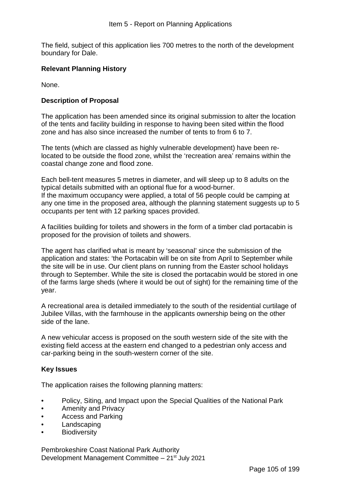The field, subject of this application lies 700 metres to the north of the development boundary for Dale.

## **Relevant Planning History**

None.

### **Description of Proposal**

The application has been amended since its original submission to alter the location of the tents and facility building in response to having been sited within the flood zone and has also since increased the number of tents to from 6 to 7.

The tents (which are classed as highly vulnerable development) have been relocated to be outside the flood zone, whilst the 'recreation area' remains within the coastal change zone and flood zone.

Each bell-tent measures 5 metres in diameter, and will sleep up to 8 adults on the typical details submitted with an optional flue for a wood-burner. If the maximum occupancy were applied, a total of 56 people could be camping at any one time in the proposed area, although the planning statement suggests up to 5 occupants per tent with 12 parking spaces provided.

A facilities building for toilets and showers in the form of a timber clad portacabin is proposed for the provision of toilets and showers.

The agent has clarified what is meant by 'seasonal' since the submission of the application and states: 'the Portacabin will be on site from April to September while the site will be in use. Our client plans on running from the Easter school holidays through to September. While the site is closed the portacabin would be stored in one of the farms large sheds (where it would be out of sight) for the remaining time of the year.

A recreational area is detailed immediately to the south of the residential curtilage of Jubilee Villas, with the farmhouse in the applicants ownership being on the other side of the lane.

A new vehicular access is proposed on the south western side of the site with the existing field access at the eastern end changed to a pedestrian only access and car-parking being in the south-western corner of the site.

### **Key Issues**

The application raises the following planning matters:

- Policy, Siting, and Impact upon the Special Qualities of the National Park
- Amenity and Privacy
- Access and Parking
- **Landscaping**
- **Biodiversity**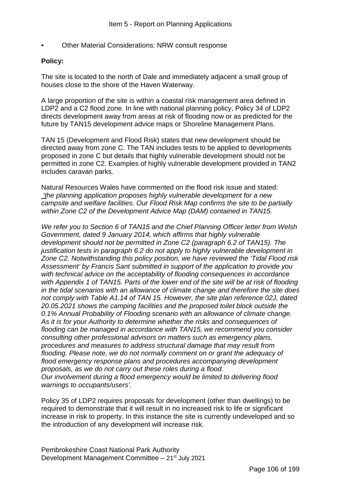• Other Material Considerations: NRW consult response

### **Policy:**

The site is located to the north of Dale and immediately adjacent a small group of houses close to the shore of the Haven Waterway.

A large proportion of the site is within a coastal risk management area defined in LDP2 and a C2 flood zone. In line with national planning policy, Policy 34 of LDP2 directs development away from areas at risk of flooding now or as predicted for the future by TAN15 development advice maps or Shoreline Management Plans.

TAN 15 (Development and Flood Risk) states that new development should be directed away from zone C. The TAN includes tests to be applied to developments proposed in zone C but details that highly vulnerable development should not be permitted in zone C2. Examples of highly vulnerable development provided in TAN2 includes caravan parks.

Natural Resources Wales have commented on the flood risk issue and stated: *'the planning application proposes highly vulnerable development for a new campsite and welfare facilities. Our Flood Risk Map confirms the site to be partially within Zone C2 of the Development Advice Map (DAM) contained in TAN15.*

*We refer you to Section 6 of TAN15 and the Chief Planning Officer letter from Welsh Government, dated 9 January 2014, which affirms that highly vulnerable development should not be permitted in Zone C2 (paragraph 6.2 of TAN15). The justification tests in paragraph 6.2 do not apply to highly vulnerable development in Zone C2. Notwithstanding this policy position, we have reviewed the 'Tidal Flood risk Assessment' by Francis Sant submitted in support of the application to provide you with technical advice on the acceptability of flooding consequences in accordance with Appendix 1 of TAN15. Parts of the lower end of the site will be at risk of flooding in the tidal scenarios with an allowance of climate change and therefore the site does not comply with Table A1.14 of TAN 15. However, the site plan reference 02J, dated 20.05.2021 shows the camping facilities and the proposed toilet block outside the 0.1% Annual Probability of Flooding scenario with an allowance of climate change. As it is for your Authority to determine whether the risks and consequences of flooding can be managed in accordance with TAN15, we recommend you consider consulting other professional advisors on matters such as emergency plans, procedures and measures to address structural damage that may result from flooding. Please note, we do not normally comment on or grant the adequacy of flood emergency response plans and procedures accompanying development proposals, as we do not carry out these roles during a flood. Our involvement during a flood emergency would be limited to delivering flood warnings to occupants/users'.* 

Policy 35 of LDP2 requires proposals for development (other than dwellings) to be required to demonstrate that it will result in no increased risk to life or significant increase in risk to property. In this instance the site is currently undeveloped and so the introduction of any development will increase risk.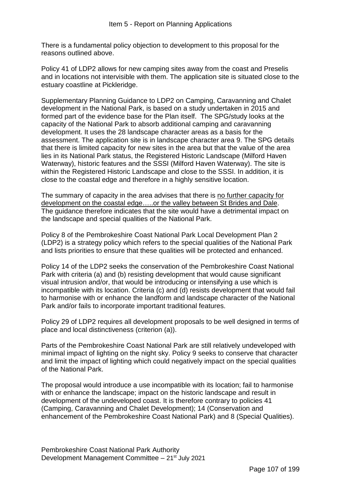There is a fundamental policy objection to development to this proposal for the reasons outlined above.

Policy 41 of LDP2 allows for new camping sites away from the coast and Preselis and in locations not intervisible with them. The application site is situated close to the estuary coastline at Pickleridge.

Supplementary Planning Guidance to LDP2 on Camping, Caravanning and Chalet development in the National Park, is based on a study undertaken in 2015 and formed part of the evidence base for the Plan itself. The SPG/study looks at the capacity of the National Park to absorb additional camping and caravanning development. It uses the 28 landscape character areas as a basis for the assessment. The application site is in landscape character area 9. The SPG details that there is limited capacity for new sites in the area but that the value of the area lies in its National Park status, the Registered Historic Landscape (Milford Haven Waterway), historic features and the SSSI (Milford Haven Waterway). The site is within the Registered Historic Landscape and close to the SSSI. In addition, it is close to the coastal edge and therefore in a highly sensitive location.

The summary of capacity in the area advises that there is no further capacity for development on the coastal edge…..or the valley between St Brides and Dale. The guidance therefore indicates that the site would have a detrimental impact on the landscape and special qualities of the National Park.

Policy 8 of the Pembrokeshire Coast National Park Local Development Plan 2 (LDP2) is a strategy policy which refers to the special qualities of the National Park and lists priorities to ensure that these qualities will be protected and enhanced.

Policy 14 of the LDP2 seeks the conservation of the Pembrokeshire Coast National Park with criteria (a) and (b) resisting development that would cause significant visual intrusion and/or, that would be introducing or intensifying a use which is incompatible with its location. Criteria (c) and (d) resists development that would fail to harmonise with or enhance the landform and landscape character of the National Park and/or fails to incorporate important traditional features.

Policy 29 of LDP2 requires all development proposals to be well designed in terms of place and local distinctiveness (criterion (a)).

Parts of the Pembrokeshire Coast National Park are still relatively undeveloped with minimal impact of lighting on the night sky. Policy 9 seeks to conserve that character and limit the impact of lighting which could negatively impact on the special qualities of the National Park.

The proposal would introduce a use incompatible with its location; fail to harmonise with or enhance the landscape; impact on the historic landscape and result in development of the undeveloped coast. It is therefore contrary to policies 41 (Camping, Caravanning and Chalet Development); 14 (Conservation and enhancement of the Pembrokeshire Coast National Park) and 8 (Special Qualities).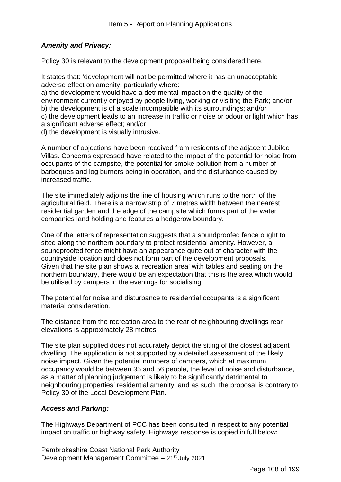# *Amenity and Privacy:*

Policy 30 is relevant to the development proposal being considered here.

It states that: 'development will not be permitted where it has an unacceptable adverse effect on amenity, particularly where:

a) the development would have a detrimental impact on the quality of the environment currently enjoyed by people living, working or visiting the Park; and/or b) the development is of a scale incompatible with its surroundings; and/or c) the development leads to an increase in traffic or noise or odour or light which has

a significant adverse effect; and/or

d) the development is visually intrusive.

A number of objections have been received from residents of the adjacent Jubilee Villas. Concerns expressed have related to the impact of the potential for noise from occupants of the campsite, the potential for smoke pollution from a number of barbeques and log burners being in operation, and the disturbance caused by increased traffic.

The site immediately adjoins the line of housing which runs to the north of the agricultural field. There is a narrow strip of 7 metres width between the nearest residential garden and the edge of the campsite which forms part of the water companies land holding and features a hedgerow boundary.

One of the letters of representation suggests that a soundproofed fence ought to sited along the northern boundary to protect residential amenity. However, a soundproofed fence might have an appearance quite out of character with the countryside location and does not form part of the development proposals. Given that the site plan shows a 'recreation area' with tables and seating on the northern boundary, there would be an expectation that this is the area which would be utilised by campers in the evenings for socialising.

The potential for noise and disturbance to residential occupants is a significant material consideration.

The distance from the recreation area to the rear of neighbouring dwellings rear elevations is approximately 28 metres.

The site plan supplied does not accurately depict the siting of the closest adjacent dwelling. The application is not supported by a detailed assessment of the likely noise impact. Given the potential numbers of campers, which at maximum occupancy would be between 35 and 56 people, the level of noise and disturbance, as a matter of planning judgement is likely to be significantly detrimental to neighbouring properties' residential amenity, and as such, the proposal is contrary to Policy 30 of the Local Development Plan.

# *Access and Parking:*

The Highways Department of PCC has been consulted in respect to any potential impact on traffic or highway safety. Highways response is copied in full below: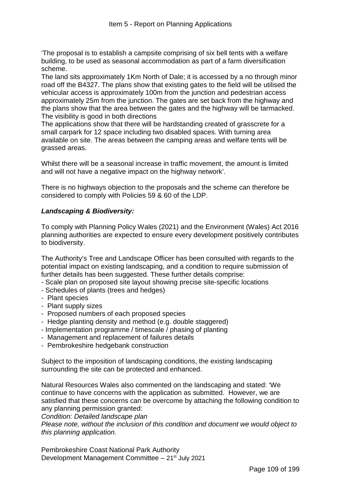'The proposal is to establish a campsite comprising of six bell tents with a welfare building, to be used as seasonal accommodation as part of a farm diversification scheme.

The land sits approximately 1Km North of Dale; it is accessed by a no through minor road off the B4327. The plans show that existing gates to the field will be utilised the vehicular access is approximately 100m from the junction and pedestrian access approximately 25m from the junction. The gates are set back from the highway and the plans show that the area between the gates and the highway will be tarmacked. The visibility is good in both directions

The applications show that there will be hardstanding created of grasscrete for a small carpark for 12 space including two disabled spaces. With turning area available on site. The areas between the camping areas and welfare tents will be grassed areas.

Whilst there will be a seasonal increase in traffic movement, the amount is limited and will not have a negative impact on the highway network'.

There is no highways objection to the proposals and the scheme can therefore be considered to comply with Policies 59 & 60 of the LDP.

### *Landscaping & Biodiversity:*

To comply with Planning Policy Wales (2021) and the Environment (Wales) Act 2016 planning authorities are expected to ensure every development positively contributes to biodiversity.

The Authority's Tree and Landscape Officer has been consulted with regards to the potential impact on existing landscaping, and a condition to require submission of further details has been suggested. These further details comprise:

- Scale plan on proposed site layout showing precise site-specific locations
- Schedules of plants (trees and hedges)
- Plant species
- Plant supply sizes
- Proposed numbers of each proposed species
- Hedge planting density and method (e.g. double staggered)
- Implementation programme / timescale / phasing of planting
- Management and replacement of failures details
- Pembrokeshire hedgebank construction

Subject to the imposition of landscaping conditions, the existing landscaping surrounding the site can be protected and enhanced.

Natural Resources Wales also commented on the landscaping and stated: 'We continue to have concerns with the application as submitted. However, we are satisfied that these concerns can be overcome by attaching the following condition to any planning permission granted:

*Condition: Detailed landscape plan* 

*Please note, without the inclusion of this condition and document we would object to this planning application.*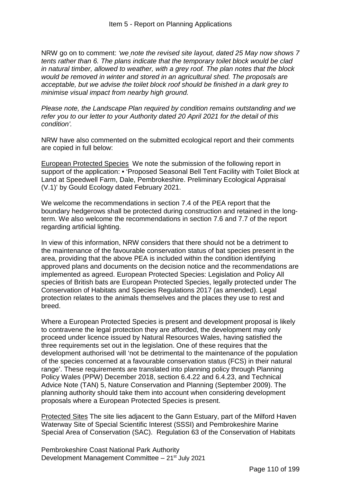NRW go on to comment: *'we note the revised site layout, dated 25 May now shows 7 tents rather than 6. The plans indicate that the temporary toilet block would be clad in natural timber, allowed to weather, with a grey roof. The plan notes that the block would be removed in winter and stored in an agricultural shed. The proposals are acceptable, but we advise the toilet block roof should be finished in a dark grey to minimise visual impact from nearby high ground.* 

*Please note, the Landscape Plan required by condition remains outstanding and we refer you to our letter to your Authority dated 20 April 2021 for the detail of this condition'.*

NRW have also commented on the submitted ecological report and their comments are copied in full below:

European Protected Species We note the submission of the following report in support of the application: • 'Proposed Seasonal Bell Tent Facility with Toilet Block at Land at Speedwell Farm, Dale, Pembrokeshire. Preliminary Ecological Appraisal (V.1)' by Gould Ecology dated February 2021.

We welcome the recommendations in section 7.4 of the PEA report that the boundary hedgerows shall be protected during construction and retained in the longterm. We also welcome the recommendations in section 7.6 and 7.7 of the report regarding artificial lighting.

In view of this information, NRW considers that there should not be a detriment to the maintenance of the favourable conservation status of bat species present in the area, providing that the above PEA is included within the condition identifying approved plans and documents on the decision notice and the recommendations are implemented as agreed. European Protected Species: Legislation and Policy All species of British bats are European Protected Species, legally protected under The Conservation of Habitats and Species Regulations 2017 (as amended). Legal protection relates to the animals themselves and the places they use to rest and breed.

Where a European Protected Species is present and development proposal is likely to contravene the legal protection they are afforded, the development may only proceed under licence issued by Natural Resources Wales, having satisfied the three requirements set out in the legislation. One of these requires that the development authorised will 'not be detrimental to the maintenance of the population of the species concerned at a favourable conservation status (FCS) in their natural range'. These requirements are translated into planning policy through Planning Policy Wales (PPW) December 2018, section 6.4.22 and 6.4.23, and Technical Advice Note (TAN) 5, Nature Conservation and Planning (September 2009). The planning authority should take them into account when considering development proposals where a European Protected Species is present.

Protected Sites The site lies adjacent to the Gann Estuary, part of the Milford Haven Waterway Site of Special Scientific Interest (SSSI) and Pembrokeshire Marine Special Area of Conservation (SAC). Regulation 63 of the Conservation of Habitats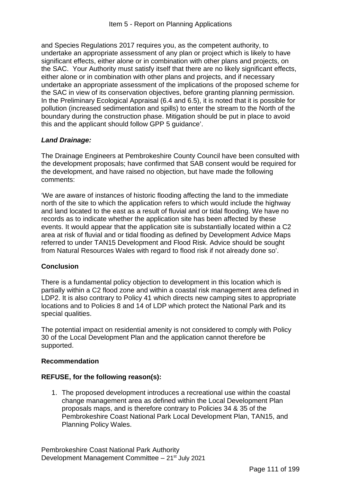and Species Regulations 2017 requires you, as the competent authority, to undertake an appropriate assessment of any plan or project which is likely to have significant effects, either alone or in combination with other plans and projects, on the SAC. Your Authority must satisfy itself that there are no likely significant effects, either alone or in combination with other plans and projects, and if necessary undertake an appropriate assessment of the implications of the proposed scheme for the SAC in view of its conservation objectives, before granting planning permission. In the Preliminary Ecological Appraisal (6.4 and 6.5), it is noted that it is possible for pollution (increased sedimentation and spills) to enter the stream to the North of the boundary during the construction phase. Mitigation should be put in place to avoid this and the applicant should follow GPP 5 guidance'.

# *Land Drainage:*

The Drainage Engineers at Pembrokeshire County Council have been consulted with the development proposals; have confirmed that SAB consent would be required for the development, and have raised no objection, but have made the following comments:

'We are aware of instances of historic flooding affecting the land to the immediate north of the site to which the application refers to which would include the highway and land located to the east as a result of fluvial and or tidal flooding. We have no records as to indicate whether the application site has been affected by these events. It would appear that the application site is substantially located within a C2 area at risk of fluvial and or tidal flooding as defined by Development Advice Maps referred to under TAN15 Development and Flood Risk. Advice should be sought from Natural Resources Wales with regard to flood risk if not already done so'.

# **Conclusion**

There is a fundamental policy objection to development in this location which is partially within a C2 flood zone and within a coastal risk management area defined in LDP2. It is also contrary to Policy 41 which directs new camping sites to appropriate locations and to Policies 8 and 14 of LDP which protect the National Park and its special qualities.

The potential impact on residential amenity is not considered to comply with Policy 30 of the Local Development Plan and the application cannot therefore be supported.

### **Recommendation**

### **REFUSE, for the following reason(s):**

1. The proposed development introduces a recreational use within the coastal change management area as defined within the Local Development Plan proposals maps, and is therefore contrary to Policies 34 & 35 of the Pembrokeshire Coast National Park Local Development Plan, TAN15, and Planning Policy Wales.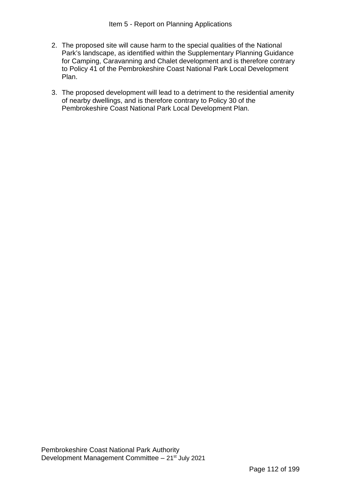- 2. The proposed site will cause harm to the special qualities of the National Park's landscape, as identified within the Supplementary Planning Guidance for Camping, Caravanning and Chalet development and is therefore contrary to Policy 41 of the Pembrokeshire Coast National Park Local Development Plan.
- 3. The proposed development will lead to a detriment to the residential amenity of nearby dwellings, and is therefore contrary to Policy 30 of the Pembrokeshire Coast National Park Local Development Plan.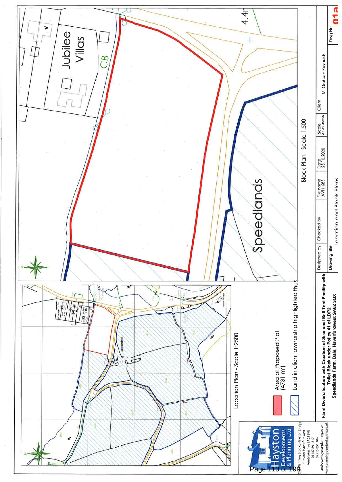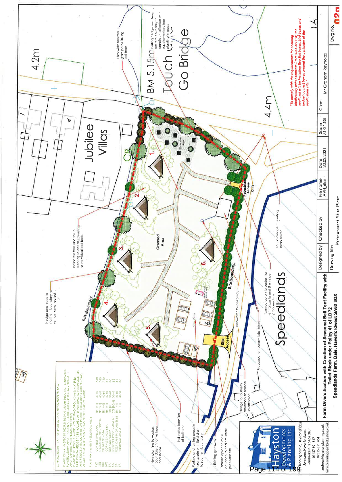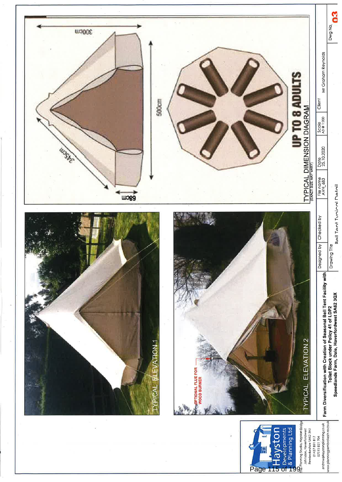